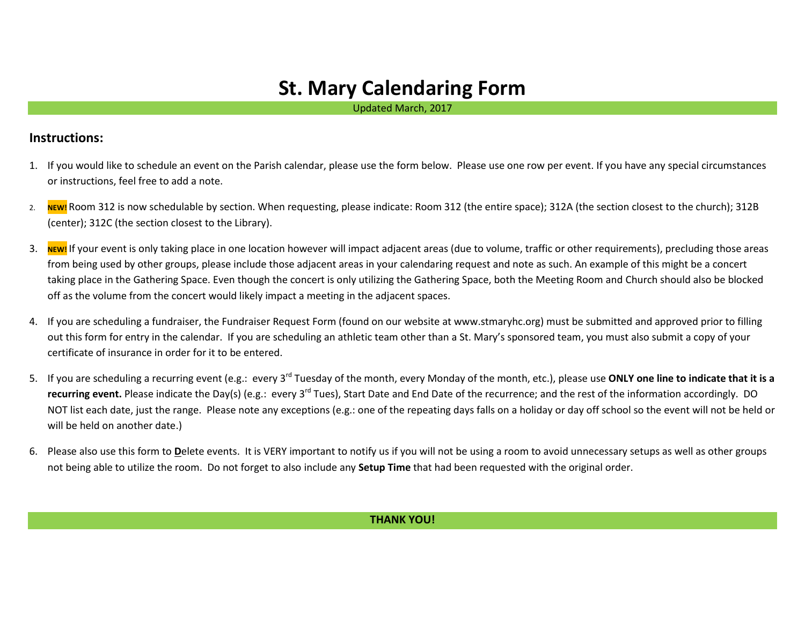## **St. Mary Calendaring Form**

Updated March, 2017

## **Instructions:**

- 1. If you would like to schedule an event on the Parish calendar, please use the form below. Please use one row per event. If you have any special circumstances or instructions, feel free to add a note.
- 2. NEW! Room 312 is now schedulable by section. When requesting, please indicate: Room 312 (the entire space); 312A (the section closest to the church); 312B (center); 312C (the section closest to the Library).
- 3. NEW! If your event is only taking place in one location however will impact adjacent areas (due to volume, traffic or other requirements), precluding those areas from being used by other groups, please include those adjacent areas in your calendaring request and note as such. An example of this might be a concert taking place in the Gathering Space. Even though the concert is only utilizing the Gathering Space, both the Meeting Room and Church should also be blocked off as the volume from the concert would likely impact a meeting in the adjacent spaces.
- 4. If you are scheduling a fundraiser, the Fundraiser Request Form (found on our website at www.stmaryhc.org) must be submitted and approved prior to filling out this form for entry in the calendar. If you are scheduling an athletic team other than a St. Mary's sponsored team, you must also submit a copy of your certificate of insurance in order for it to be entered.
- 5. If you are scheduling a recurring event (e.g.: every 3rd Tuesday of the month, every Monday of the month, etc.), please use **ONLY one line to indicate that it is a recurring event.** Please indicate the Day(s) (e.g.: every 3<sup>rd</sup> Tues), Start Date and End Date of the recurrence; and the rest of the information accordingly. DO NOT list each date, just the range. Please note any exceptions (e.g.: one of the repeating days falls on a holiday or day off school so the event will not be held or will be held on another date.)
- 6. Please also use this form to **D**elete events. It is VERY important to notify us if you will not be using a room to avoid unnecessary setups as well as other groups not being able to utilize the room. Do not forget to also include any **Setup Time** that had been requested with the original order.

## **THANK YOU!**